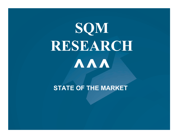# SQM RESEARCH**^^^**

STATE OF THE MARKET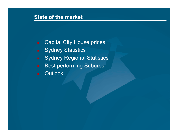#### State of the market

- Capital City House prices
- **Sydney Statistics**
- **Sydney Regional Statistics**
- **Best performing Suburbs**
- **Outlook**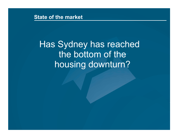State of the market

Has Sydney has reached the bottom of the housing downturn?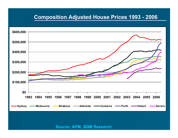#### Composition Adjusted House Prices 1993 - <sup>2006</sup>

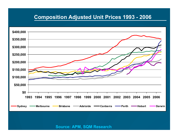#### Composition Adjusted Unit Prices 1993 - <sup>2006</sup>

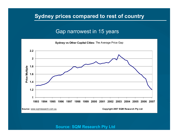#### Sydney prices compared to rest of country

#### Gap narrowest in 15 years



 <sup>6</sup> Source: SQM Research Pty Ltd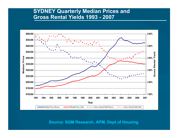#### SYDNEY Quarterly Median Prices and Gross Rental Yields 1993 - <sup>2007</sup>



<sup>7</sup> Source: SQM Research, APM, Dept of Housing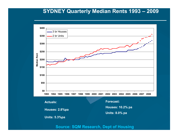### SYDNEY Quarterly Median Rents 1993 – <sup>2009</sup>



Source: SQM Research, Dept of Housing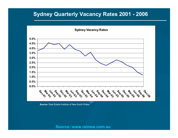#### Sydney Quarterly Vacancy Rates 2001 - <sup>2006</sup>



Source: Real Estate Institute of New South Wales

e de la provincia de la contrada de la contrada de la contrada de la contrada de la contrada de la contrada de<br>En 1990, el contrada de la contrada de la contrada de la contrada de la contrada de la contrada de la contrada Source: www.reinsw.com.au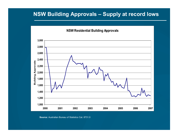#### NSW Building Approvals – Supply at record lows

NSW Residential Building Approvals



Source: Australian Bureau of Statistics Cat. 8731.0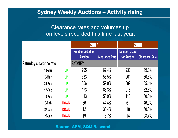#### Sydney Weekly Auctions – Activity rising

#### Clearance rates and volumes up on levels recorded this time last year.

|                         |             | 2007                     |                       | 2006                 |                       |
|-------------------------|-------------|--------------------------|-----------------------|----------------------|-----------------------|
|                         |             | <b>Number Listed for</b> |                       | <b>Number Listed</b> |                       |
|                         |             | <b>Auction</b>           | <b>Clearance Rate</b> | for Auction          | <b>Clearance Rate</b> |
| Saturday clearance rate |             | <b>SYDNEY</b>            |                       |                      |                       |
| 10-Mar                  | <b>UP</b>   | 295                      | 62.4%                 | 233                  | 49.3%                 |
| 3-Mar                   | <b>UP</b>   | 333                      | 58.5%                 | 261                  | 50.8%                 |
| 24-Feb                  | <b>UP</b>   | 356                      | 59.0%                 | 389                  | 55.1%                 |
| 17-Feb                  | <b>UP</b>   | 173                      | 65.3%                 | 218                  | 62.6%                 |
| 10-Feb                  | <b>UP</b>   | 113                      | 50.9%                 | 112                  | 50.0%                 |
| 3-Feb                   | <b>DOWN</b> | 66                       | 44.4%                 | 61                   | 46.9%                 |
| $27$ -Jan               | <b>DOWN</b> | 12                       | 36.4%                 | 18                   | 50.0%                 |
| $20$ -Jan               | <b>DOWN</b> | 19                       | 16.7%                 | 14                   | 28.7%                 |

 <sup>11</sup> Source: APM, SQM Research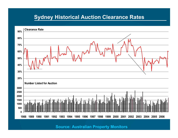#### Sydney Historical Auction Clearance Rates



Source: Australian Property Monitors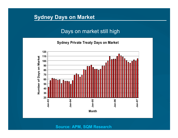#### Sydney Days on Market

#### Days on market still high

Sydney Private Treaty Days on Market



 $\mathcal{L} = \mathcal{L} \mathcal{L} = \mathcal{L} \mathcal{L} = \mathcal{L} \mathcal{L} \mathcal{L} = \mathcal{L} \mathcal{L} \mathcal{L} = \mathcal{L} \mathcal{L} \mathcal{L} = \mathcal{L} \mathcal{L} \mathcal{L} = \mathcal{L} \mathcal{L} \mathcal{L} \mathcal{L} = \mathcal{L} \mathcal{L} \mathcal{L} \mathcal{L} = \mathcal{L} \mathcal{L} \mathcal{L} \mathcal{L} \mathcal{L} = \mathcal{L} \mathcal{L} \mathcal{L} \mathcal{L} \mathcal{L}$ Source: APM, SQM Research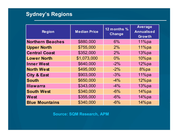#### Sydney's Regions

| <b>Region</b>           | <b>Median Price</b> | 12 months %<br><b>Change</b> | <b>Average</b><br><b>Annualised</b><br><b>Growth</b> |
|-------------------------|---------------------|------------------------------|------------------------------------------------------|
| <b>Northern Beaches</b> | \$880,000           | 6%                           | 11%pa                                                |
| <b>Upper North</b>      | \$755,000           | 2%                           | 11%pa                                                |
| <b>Central Coast</b>    | \$352,000           | 2%                           | $13\%$ pa                                            |
| <b>Lower North</b>      | \$1,073,000         | $0\%$                        | 10%pa                                                |
| <b>Inner West</b>       | \$640,000           | $-2\%$                       | $12\%$ pa                                            |
| <b>North West</b>       | \$495,000           | $-2\%$                       | $8\%$ pa                                             |
| <b>City &amp; East</b>  | \$903,000           | $-3%$                        | $11\%$ pa                                            |
| <b>South</b>            | \$650,000           | $-4\%$                       | $12\%$ pa                                            |
| <b>Illawarra</b>        | \$343,000           | $-4\%$                       | $13\%$ pa                                            |
| <b>South West</b>       | \$340,000           | $-6\%$                       | $14\%$ pa                                            |
| West                    | \$355,000           | $-6\%$                       | $14\%$ pa                                            |
| <b>Blue Mountains</b>   | \$340,000           | $-6%$                        | $14\%$ pa                                            |

Source: SQM Research, APM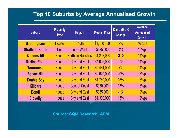#### Top 10 Suburbs by Average Annualised Growth

| <b>Suburb</b>           | <b>Property</b><br><b>Type</b> | <b>Region</b>           | <b>Median Price</b> | 12 months %<br><b>Change</b> | Average<br><b>Annualised</b><br><b>Growth</b> |
|-------------------------|--------------------------------|-------------------------|---------------------|------------------------------|-----------------------------------------------|
| <b>Sandingham</b>       | <b>House</b>                   | <b>South</b>            | \$1,400,000         | 2%                           | $16\%$ pa                                     |
| <b>Stratfield South</b> | Unit                           | <b>Inner West</b>       | \$325,000           | $-2%$                        | $16\%$ pa                                     |
| Queenscliff             | <b>House</b>                   | <b>Northern Beaches</b> | \$1,258,000         | $-35%$                       | 14%pa                                         |
| <b>Darling Point</b>    | <b>House</b>                   | <b>City and East</b>    | \$4,025,000         | 6%                           | 14%pa                                         |
| <b>Tamarama</b>         | <b>House</b>                   | <b>City and East</b>    | \$2,434,000         | 7%                           | 14%pa                                         |
| <b>Belvue Hill</b>      | <b>House</b>                   | <b>City and East</b>    | \$2,640,000         | 20%                          | 13%pa                                         |
| <b>Double Bay</b>       | <b>House</b>                   | <b>City and East</b>    | \$1,760,000         | 15%                          | 13%pa                                         |
| <b>Killcare</b>         | House                          | <b>Central Coast</b>    | \$960,000           | 13%                          | 13%pa                                         |
| <b>Bondi</b>            | <b>House</b>                   | <b>City and East</b>    | \$965,000           | $-1\%$                       | 12%pa                                         |
| <b>Clovelly</b>         | <b>House</b>                   | <b>City and East</b>    | \$1,300,000         | 13%                          | $12\%$ pa                                     |

Source: SQM Research, APM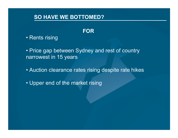#### SO HAVE WE BOTTOMED?

#### FOR

• Rents rising

• Price gap between Sydney and rest of country narrowest in 15 years

- Auction clearance rates rising despite rate hikes
- Upper end of the market rising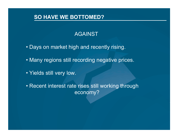#### SO HAVE WE BOTTOMED?

#### AGAINST

- Days on market high and recently rising.
- Many regions still recording negative prices.
- Yields still very low.
- Recent interest rate rises still working through economy?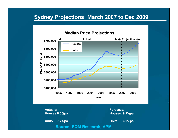#### Sydney Projections: March 2007 to Dec 2009



 $\sim$  18.  $\sim$  18.  $\sim$  18.  $\sim$  18.  $\sim$  18.  $\sim$  18.  $\sim$  18.  $\sim$  18.  $\sim$  18.  $\sim$  18.  $\sim$  18.  $\sim$  18.  $\sim$  18.  $\sim$  18.  $\sim$  18.  $\sim$  18.  $\sim$  18.  $\sim$  18.  $\sim$  18.  $\sim$  18.  $\sim$  18.  $\sim$  18.  $\sim$  18.  $\sim$  18.  $\sim$  Source: SQM Research, APMActuals: Houses 8.6%paUnits 7.7%paForecasts: Houses: 9.2%paUnits: 6.9%pa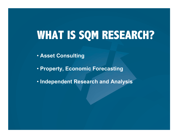## **WHAT IS SQM RESEARCH?**

• Asset Consulting

• Property, Economic Forecasting

• Independent Research and Analysis